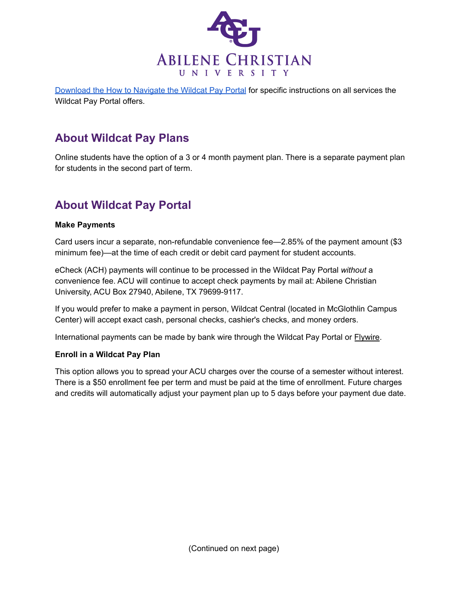

[Download the How to Navigate the Wildcat Pay Portal](https://www.acu.edu/content/dam/acu_2016/pdf/academics/how-to-navigate-the-wildcat-pay-portal.pdf) for specific instructions on all services the Wildcat Pay Portal offers.

### **About Wildcat Pay Plans**

Online students have the option of a 3 or 4 month payment plan. There is a separate payment plan for students in the second part of term.

### **About Wildcat Pay Portal**

#### **Make Payments**

Card users incur a separate, non-refundable convenience fee—2.85% of the payment amount (\$3 minimum fee)—at the time of each credit or debit card payment for student accounts.

eCheck (ACH) payments will continue to be processed in the Wildcat Pay Portal *without* a convenience fee. ACU will continue to accept check payments by mail at: Abilene Christian University, ACU Box 27940, Abilene, TX 79699-9117.

If you would prefer to make a payment in person, Wildcat Central (located in McGlothlin Campus Center) will accept exact cash, personal checks, cashier's checks, and money orders.

International payments can be made by bank wire through the Wildcat Pay Portal or [Flywire.](https://payment.flywire.com/pay/payment)

#### **Enroll in a Wildcat Pay Plan**

This option allows you to spread your ACU charges over the course of a semester without interest. There is a \$50 enrollment fee per term and must be paid at the time of enrollment. Future charges and credits will automatically adjust your payment plan up to 5 days before your payment due date.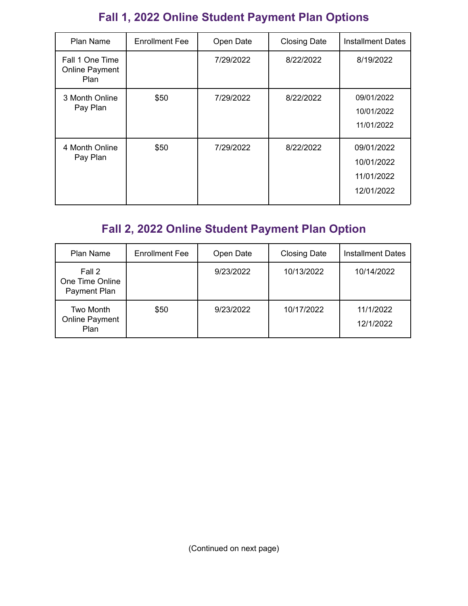# **Fall 1, 2022 Online Student Payment Plan Options**

| Plan Name                                               | <b>Enrollment Fee</b> | Open Date | <b>Closing Date</b> | <b>Installment Dates</b>                             |
|---------------------------------------------------------|-----------------------|-----------|---------------------|------------------------------------------------------|
| Fall 1 One Time<br><b>Online Payment</b><br><b>Plan</b> |                       | 7/29/2022 | 8/22/2022           | 8/19/2022                                            |
| 3 Month Online<br>Pay Plan                              | \$50                  | 7/29/2022 | 8/22/2022           | 09/01/2022<br>10/01/2022<br>11/01/2022               |
| 4 Month Online<br>Pay Plan                              | \$50                  | 7/29/2022 | 8/22/2022           | 09/01/2022<br>10/01/2022<br>11/01/2022<br>12/01/2022 |

# **Fall 2, 2022 Online Student Payment Plan Option**

| Plan Name                                         | <b>Enrollment Fee</b> | Open Date | <b>Closing Date</b> | <b>Installment Dates</b> |
|---------------------------------------------------|-----------------------|-----------|---------------------|--------------------------|
| Fall 2<br>One Time Online<br>Payment Plan         |                       | 9/23/2022 | 10/13/2022          | 10/14/2022               |
| <b>Two Month</b><br>Online Payment<br><b>Plan</b> | \$50                  | 9/23/2022 | 10/17/2022          | 11/1/2022<br>12/1/2022   |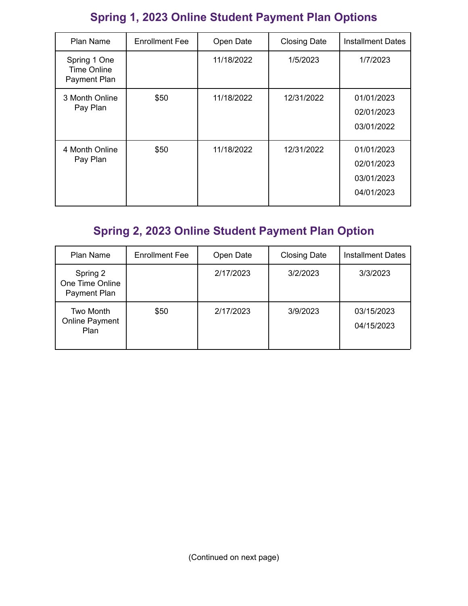# **Spring 1, 2023 Online Student Payment Plan Options**

| <b>Plan Name</b>                            | <b>Enrollment Fee</b> | Open Date  | <b>Closing Date</b> | <b>Installment Dates</b>                             |
|---------------------------------------------|-----------------------|------------|---------------------|------------------------------------------------------|
| Spring 1 One<br>Time Online<br>Payment Plan |                       | 11/18/2022 | 1/5/2023            | 1/7/2023                                             |
| 3 Month Online<br>Pay Plan                  | \$50                  | 11/18/2022 | 12/31/2022          | 01/01/2023<br>02/01/2023<br>03/01/2022               |
| 4 Month Online<br>Pay Plan                  | \$50                  | 11/18/2022 | 12/31/2022          | 01/01/2023<br>02/01/2023<br>03/01/2023<br>04/01/2023 |

# **Spring 2, 2023 Online Student Payment Plan Option**

| Plan Name                                   | <b>Enrollment Fee</b> | Open Date | <b>Closing Date</b> | <b>Installment Dates</b> |
|---------------------------------------------|-----------------------|-----------|---------------------|--------------------------|
| Spring 2<br>One Time Online<br>Payment Plan |                       | 2/17/2023 | 3/2/2023            | 3/3/2023                 |
| Two Month<br>Online Payment<br>Plan         | \$50                  | 2/17/2023 | 3/9/2023            | 03/15/2023<br>04/15/2023 |